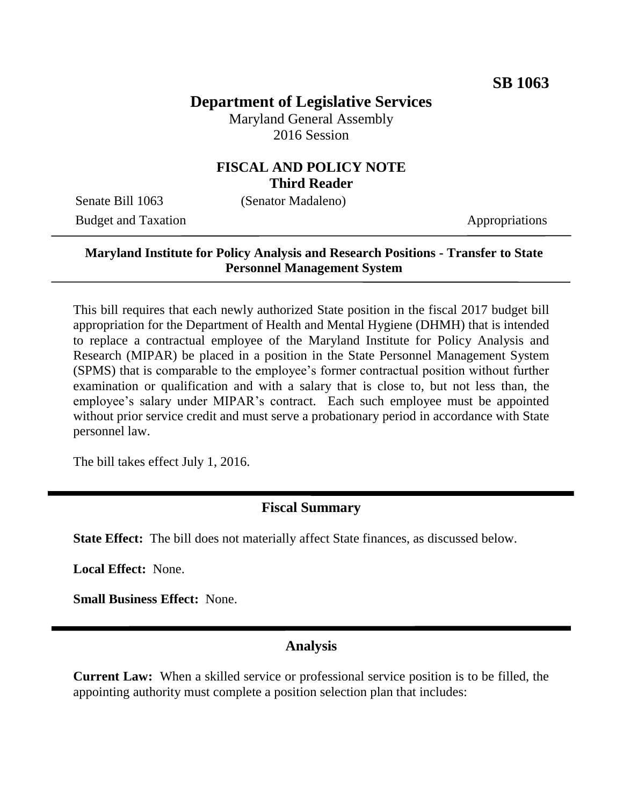# **Department of Legislative Services**

Maryland General Assembly 2016 Session

## **FISCAL AND POLICY NOTE Third Reader**

Senate Bill 1063 (Senator Madaleno) Budget and Taxation Appropriations

#### **Maryland Institute for Policy Analysis and Research Positions - Transfer to State Personnel Management System**

This bill requires that each newly authorized State position in the fiscal 2017 budget bill appropriation for the Department of Health and Mental Hygiene (DHMH) that is intended to replace a contractual employee of the Maryland Institute for Policy Analysis and Research (MIPAR) be placed in a position in the State Personnel Management System (SPMS) that is comparable to the employee's former contractual position without further examination or qualification and with a salary that is close to, but not less than, the employee's salary under MIPAR's contract. Each such employee must be appointed without prior service credit and must serve a probationary period in accordance with State personnel law.

The bill takes effect July 1, 2016.

#### **Fiscal Summary**

**State Effect:** The bill does not materially affect State finances, as discussed below.

**Local Effect:** None.

**Small Business Effect:** None.

#### **Analysis**

**Current Law:** When a skilled service or professional service position is to be filled, the appointing authority must complete a position selection plan that includes: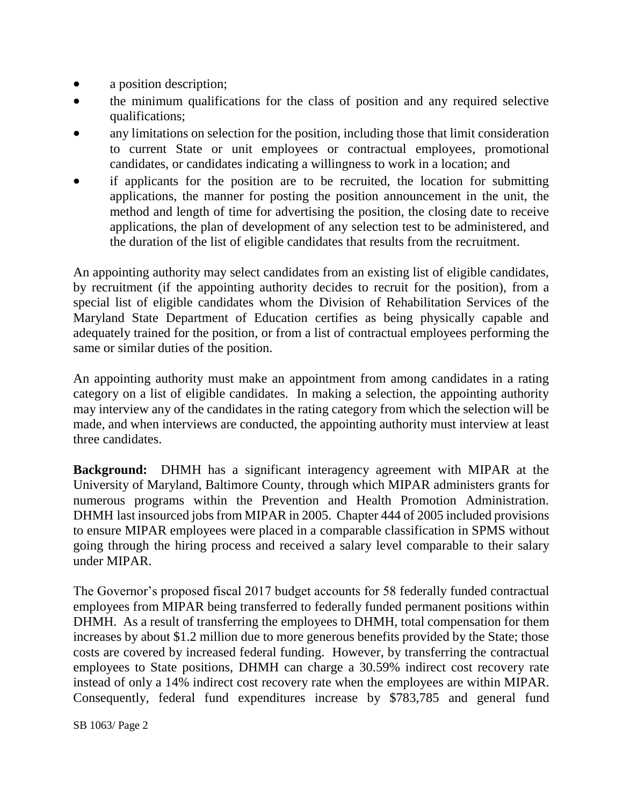- a position description;
- the minimum qualifications for the class of position and any required selective qualifications;
- any limitations on selection for the position, including those that limit consideration to current State or unit employees or contractual employees, promotional candidates, or candidates indicating a willingness to work in a location; and
- if applicants for the position are to be recruited, the location for submitting applications, the manner for posting the position announcement in the unit, the method and length of time for advertising the position, the closing date to receive applications, the plan of development of any selection test to be administered, and the duration of the list of eligible candidates that results from the recruitment.

An appointing authority may select candidates from an existing list of eligible candidates, by recruitment (if the appointing authority decides to recruit for the position), from a special list of eligible candidates whom the Division of Rehabilitation Services of the Maryland State Department of Education certifies as being physically capable and adequately trained for the position, or from a list of contractual employees performing the same or similar duties of the position.

An appointing authority must make an appointment from among candidates in a rating category on a list of eligible candidates. In making a selection, the appointing authority may interview any of the candidates in the rating category from which the selection will be made, and when interviews are conducted, the appointing authority must interview at least three candidates.

**Background:** DHMH has a significant interagency agreement with MIPAR at the University of Maryland, Baltimore County, through which MIPAR administers grants for numerous programs within the Prevention and Health Promotion Administration. DHMH last insourced jobs from MIPAR in 2005. Chapter 444 of 2005 included provisions to ensure MIPAR employees were placed in a comparable classification in SPMS without going through the hiring process and received a salary level comparable to their salary under MIPAR.

The Governor's proposed fiscal 2017 budget accounts for 58 federally funded contractual employees from MIPAR being transferred to federally funded permanent positions within DHMH. As a result of transferring the employees to DHMH, total compensation for them increases by about \$1.2 million due to more generous benefits provided by the State; those costs are covered by increased federal funding. However, by transferring the contractual employees to State positions, DHMH can charge a 30.59% indirect cost recovery rate instead of only a 14% indirect cost recovery rate when the employees are within MIPAR. Consequently, federal fund expenditures increase by \$783,785 and general fund

SB 1063/ Page 2